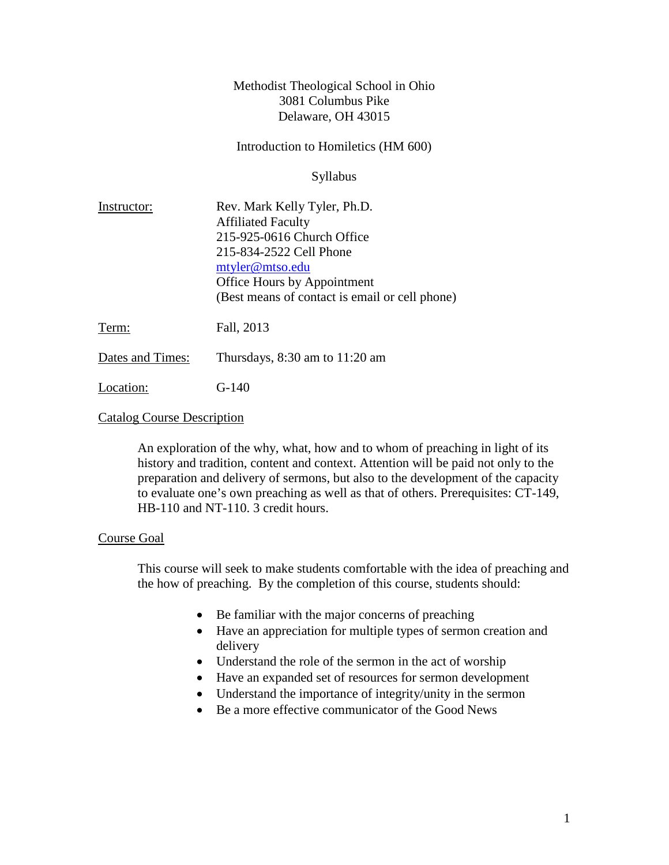### Methodist Theological School in Ohio 3081 Columbus Pike Delaware, OH 43015

Introduction to Homiletics (HM 600)

Syllabus

| Instructor:      | Rev. Mark Kelly Tyler, Ph.D.                   |
|------------------|------------------------------------------------|
|                  | <b>Affiliated Faculty</b>                      |
|                  | 215-925-0616 Church Office                     |
|                  | 215-834-2522 Cell Phone                        |
|                  | mtyler@mtso.edu                                |
|                  | Office Hours by Appointment                    |
|                  | (Best means of contact is email or cell phone) |
| Term:            | Fall, 2013                                     |
| Dates and Times: | Thursdays, $8:30$ am to $11:20$ am             |

Location: G-140

### Catalog Course Description

An exploration of the why, what, how and to whom of preaching in light of its history and tradition, content and context. Attention will be paid not only to the preparation and delivery of sermons, but also to the development of the capacity to evaluate one's own preaching as well as that of others. Prerequisites: CT-149, HB-110 and NT-110. 3 credit hours.

### Course Goal

This course will seek to make students comfortable with the idea of preaching and the how of preaching. By the completion of this course, students should:

- Be familiar with the major concerns of preaching
- Have an appreciation for multiple types of sermon creation and delivery
- Understand the role of the sermon in the act of worship
- Have an expanded set of resources for sermon development
- Understand the importance of integrity/unity in the sermon
- Be a more effective communicator of the Good News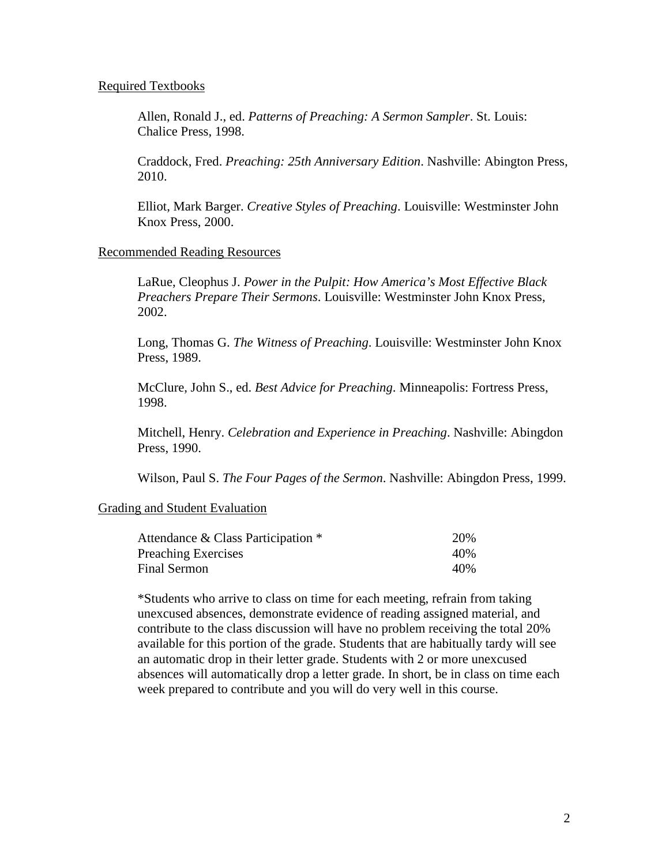#### Required Textbooks

Allen, Ronald J., ed. *Patterns of Preaching: A Sermon Sampler*. St. Louis: Chalice Press, 1998.

Craddock, Fred. *Preaching: 25th Anniversary Edition*. Nashville: Abington Press, 2010.

Elliot, Mark Barger. *Creative Styles of Preaching*. Louisville: Westminster John Knox Press, 2000.

#### Recommended Reading Resources

LaRue, Cleophus J. *Power in the Pulpit: How America's Most Effective Black Preachers Prepare Their Sermons*. Louisville: Westminster John Knox Press, 2002.

Long, Thomas G. *The Witness of Preaching*. Louisville: Westminster John Knox Press, 1989.

McClure, John S., ed. *Best Advice for Preaching*. Minneapolis: Fortress Press, 1998.

Mitchell, Henry. *Celebration and Experience in Preaching*. Nashville: Abingdon Press, 1990.

Wilson, Paul S. *The Four Pages of the Sermon*. Nashville: Abingdon Press, 1999.

### Grading and Student Evaluation

| Attendance & Class Participation * | 20%  |
|------------------------------------|------|
| <b>Preaching Exercises</b>         | 40\% |
| Final Sermon                       | 40\% |

\*Students who arrive to class on time for each meeting, refrain from taking unexcused absences, demonstrate evidence of reading assigned material, and contribute to the class discussion will have no problem receiving the total 20% available for this portion of the grade. Students that are habitually tardy will see an automatic drop in their letter grade. Students with 2 or more unexcused absences will automatically drop a letter grade. In short, be in class on time each week prepared to contribute and you will do very well in this course.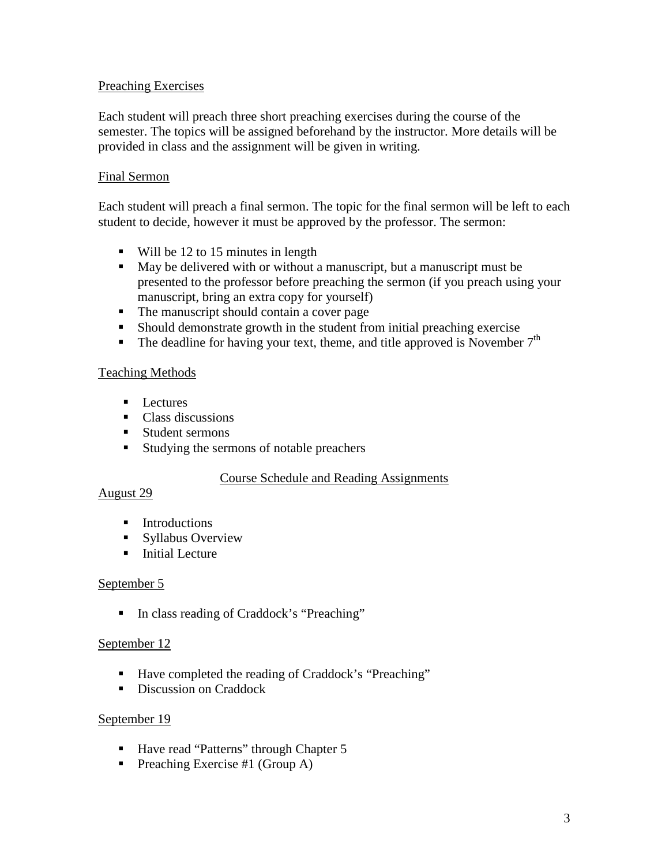## Preaching Exercises

Each student will preach three short preaching exercises during the course of the semester. The topics will be assigned beforehand by the instructor. More details will be provided in class and the assignment will be given in writing.

## Final Sermon

Each student will preach a final sermon. The topic for the final sermon will be left to each student to decide, however it must be approved by the professor. The sermon:

- Will be 12 to 15 minutes in length
- May be delivered with or without a manuscript, but a manuscript must be presented to the professor before preaching the sermon (if you preach using your manuscript, bring an extra copy for yourself)
- The manuscript should contain a cover page
- Should demonstrate growth in the student from initial preaching exercise
- The deadline for having your text, theme, and title approved is November  $7<sup>th</sup>$

### Teaching Methods

- $\blacksquare$  Lectures
- Class discussions
- **Student sermons**
- Studying the sermons of notable preachers

### Course Schedule and Reading Assignments

### August 29

- **Introductions**
- **Syllabus Overview**
- $\blacksquare$  Initial Lecture

### September 5

■ In class reading of Craddock's "Preaching"

### September 12

- Have completed the reading of Craddock's "Preaching"
- Discussion on Craddock

### September 19

- Have read "Patterns" through Chapter 5
- Preaching Exercise #1 (Group A)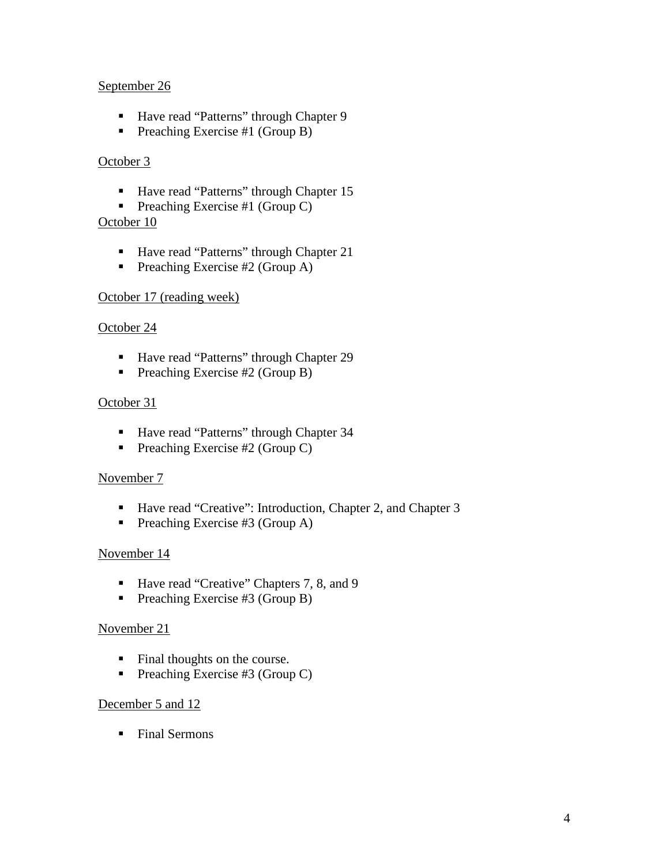## September 26

- Have read "Patterns" through Chapter 9
- Preaching Exercise #1 (Group B)

# October 3

- Have read "Patterns" through Chapter 15
- Preaching Exercise #1 (Group C)

## October 10

- Have read "Patterns" through Chapter 21
- Preaching Exercise #2 (Group A)

# October 17 (reading week)

## October 24

- Have read "Patterns" through Chapter 29
- Preaching Exercise  $#2$  (Group B)

## October 31

- Have read "Patterns" through Chapter 34
- Preaching Exercise #2 (Group C)

## November 7

- Have read "Creative": Introduction, Chapter 2, and Chapter 3
- Preaching Exercise #3 (Group A)

## November 14

- Have read "Creative" Chapters 7, 8, and 9
- Preaching Exercise #3 (Group B)

## November 21

- Final thoughts on the course.
- Preaching Exercise #3 (Group C)

### December 5 and 12

• Final Sermons